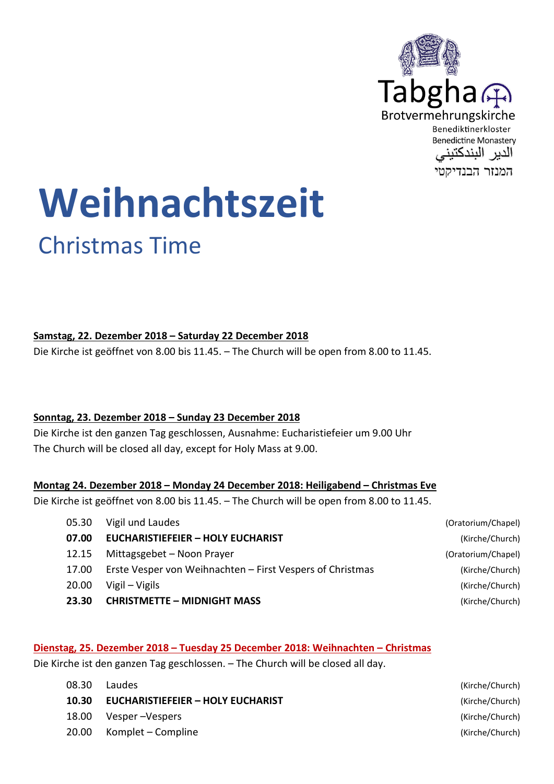

## **Weihnachtszeit** Christmas Time

#### **Samstag, 22. Dezember 2018 – Saturday 22 December 2018**

Die Kirche ist geöffnet von 8.00 bis 11.45. – The Church will be open from 8.00 to 11.45.

#### **Sonntag, 23. Dezember 2018 – Sunday 23 December 2018**

Die Kirche ist den ganzen Tag geschlossen, Ausnahme: Eucharistiefeier um 9.00 Uhr The Church will be closed all day, except for Holy Mass at 9.00.

#### **Montag 24. Dezember 2018 – Monday 24 December 2018: Heiligabend – Christmas Eve**

Die Kirche ist geöffnet von 8.00 bis 11.45. – The Church will be open from 8.00 to 11.45.

| 05.30 | Vigil und Laudes                                          | (Oratorium/Chapel) |
|-------|-----------------------------------------------------------|--------------------|
| 07.00 | <b>EUCHARISTIEFEIER - HOLY EUCHARIST</b>                  | (Kirche/Church)    |
| 12.15 | Mittagsgebet - Noon Prayer                                | (Oratorium/Chapel) |
| 17.00 | Erste Vesper von Weihnachten – First Vespers of Christmas | (Kirche/Church)    |
| 20.00 | Vigil – Vigils                                            | (Kirche/Church)    |
| 23.30 | <b>CHRISTMETTE - MIDNIGHT MASS</b>                        | (Kirche/Church)    |
|       |                                                           |                    |

#### **Dienstag, 25. Dezember 2018 – Tuesday 25 December 2018: Weihnachten – Christmas**

Die Kirche ist den ganzen Tag geschlossen. – The Church will be closed all day.

| 08.30 | Laudes                                   | (Kirche/Church) |
|-------|------------------------------------------|-----------------|
| 10.30 | <b>EUCHARISTIEFEIER - HOLY EUCHARIST</b> | (Kirche/Church) |
| 18.00 | Vesper – Vespers                         | (Kirche/Church) |
| 20.00 | Komplet – Compline                       | (Kirche/Church) |
|       |                                          |                 |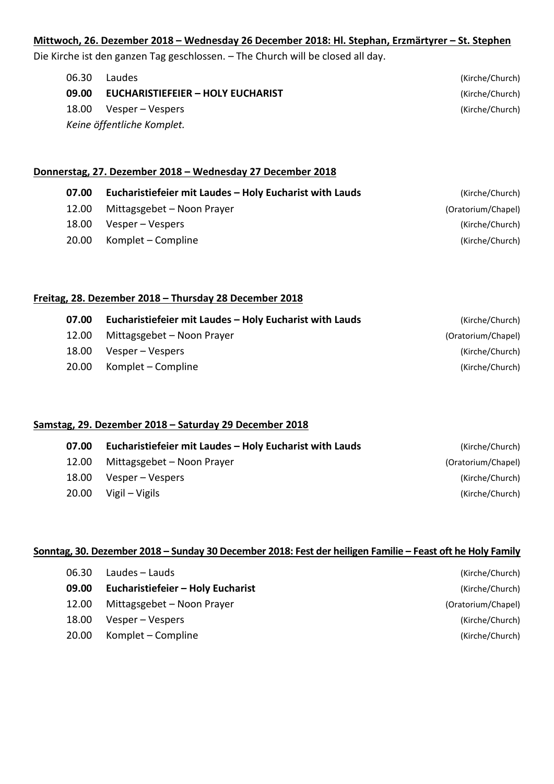#### **Mittwoch, 26. Dezember 2018 – Wednesday 26 December 2018: Hl. Stephan, Erzmärtyrer – St. Stephen**

Die Kirche ist den ganzen Tag geschlossen. – The Church will be closed all day.

| 06.30 | Laudes                                   | (Kirche/Church) |
|-------|------------------------------------------|-----------------|
| 09.00 | <b>EUCHARISTIEFEIER - HOLY EUCHARIST</b> | (Kirche/Church) |
|       | 18.00 Vesper – Vespers                   | (Kirche/Church) |
|       | Keine öffentliche Komplet.               |                 |

#### **Donnerstag, 27. Dezember 2018 – Wednesday 27 December 2018**

| (Kirche/Church)    | Eucharistiefeier mit Laudes - Holy Eucharist with Lauds | 07.00 |
|--------------------|---------------------------------------------------------|-------|
| (Oratorium/Chapel) | Mittagsgebet – Noon Prayer                              | 12.00 |
| (Kirche/Church)    | Vesper – Vespers                                        | 18.00 |
| (Kirche/Church)    | Komplet – Compline                                      | 20.00 |
|                    |                                                         |       |

#### **Freitag, 28. Dezember 2018 – Thursday 28 December 2018**

| (Kirche/Church)    | Eucharistiefeier mit Laudes - Holy Eucharist with Lauds | 07.00 |
|--------------------|---------------------------------------------------------|-------|
| (Oratorium/Chapel) | Mittagsgebet – Noon Prayer                              | 12.00 |
| (Kirche/Church)    | Vesper – Vespers                                        | 18.00 |
| (Kirche/Church)    | Komplet – Compline                                      | 20.00 |

#### **Samstag, 29. Dezember 2018 – Saturday 29 December 2018**

| 07.00 | Eucharistiefeier mit Laudes - Holy Eucharist with Lauds | (Kirche/Church)    |
|-------|---------------------------------------------------------|--------------------|
| 12.00 | Mittagsgebet – Noon Prayer                              | (Oratorium/Chapel) |
| 18.00 | Vesper – Vespers                                        | (Kirche/Church)    |
| 20.00 | Vigil – Vigils                                          | (Kirche/Church)    |

#### **Sonntag, 30. Dezember 2018 – Sunday 30 December 2018: Fest der heiligen Familie – Feast oft he Holy Family**

| 06.30 | Laudes – Lauds                    | (Kirche/Church)    |
|-------|-----------------------------------|--------------------|
| 09.00 | Eucharistiefeier - Holy Eucharist | (Kirche/Church)    |
| 12.00 | Mittagsgebet – Noon Prayer        | (Oratorium/Chapel) |
| 18.00 | Vesper – Vespers                  | (Kirche/Church)    |
| 20.00 | Komplet – Compline                | (Kirche/Church)    |
|       |                                   |                    |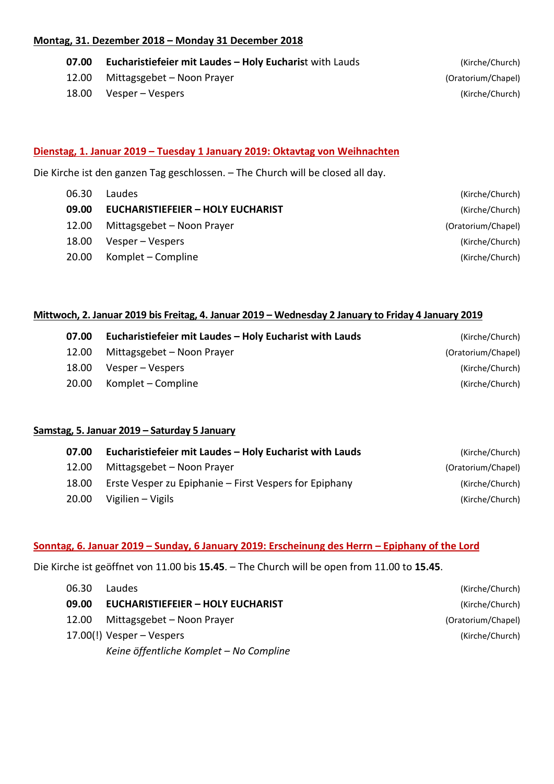#### **Montag, 31. Dezember 2018 – Monday 31 December 2018**

- **07.00 Eucharistiefeier mit Laudes Holy Eucharist with Lauds (Kirche/Church)**
- 12.00 Mittagsgebet Noon Prayer (Oratorium/Chapel)
- 18.00 Vesper Vespers (Kirche/Church)

#### **Dienstag, 1. Januar 2019 – Tuesday 1 January 2019: Oktavtag von Weihnachten**

Die Kirche ist den ganzen Tag geschlossen. – The Church will be closed all day.

- 06.30 Laudes (Kirche/Church)
- **09.00 EUCHARISTIEFEIER – HOLY EUCHARIST** (Kirche/Church)
- 12.00 Mittagsgebet Noon Prayer (Oratorium/Chapel)
- 18.00 Vesper Vespers (Kirche/Church)
- 20.00 Komplet Compline (Kirche/Church)

#### **Mittwoch, 2. Januar 2019 bis Freitag, 4. Januar 2019 – Wednesday 2 January to Friday 4 January 2019**

| 07.00 | Eucharistiefeier mit Laudes - Holy Eucharist with Lauds | (Kirche/Church)    |
|-------|---------------------------------------------------------|--------------------|
| 12.00 | Mittagsgebet – Noon Prayer                              | (Oratorium/Chapel) |
| 18.00 | Vesper – Vespers                                        | (Kirche/Church)    |
| 20.00 | Komplet – Compline                                      | (Kirche/Church)    |

#### **Samstag, 5. Januar 2019 – Saturday 5 January**

| 07.00 | Eucharistiefeier mit Laudes - Holy Eucharist with Lauds | (Kirche/Church)    |
|-------|---------------------------------------------------------|--------------------|
| 12.00 | Mittagsgebet – Noon Prayer                              | (Oratorium/Chapel) |
| 18.00 | Erste Vesper zu Epiphanie – First Vespers for Epiphany  | (Kirche/Church)    |
| 20.00 | Vigilien – Vigils                                       | (Kirche/Church)    |

#### **Sonntag, 6. Januar 2019 – Sunday, 6 January 2019: Erscheinung des Herrn – Epiphany of the Lord**

Die Kirche ist geöffnet von 11.00 bis **15.45**. – The Church will be open from 11.00 to **15.45**.

| 06.30 Laudes |                                          |
|--------------|------------------------------------------|
| 09.00        | <b>EUCHARISTIEFEIER - HOLY EUCHARIST</b> |
|              | 12.00 Mittagsgebet - Noon Prayer         |
|              | 17.00(!) Vesper - Vespers                |
|              | Keine öffentliche Komplet - No Compline  |

(Kirche/Church) **09.00 EUCHARISTIEFEIER – HOLY EUCHARIST** (Kirche/Church) (Oratorium/Chapel) (Kirche/Church)